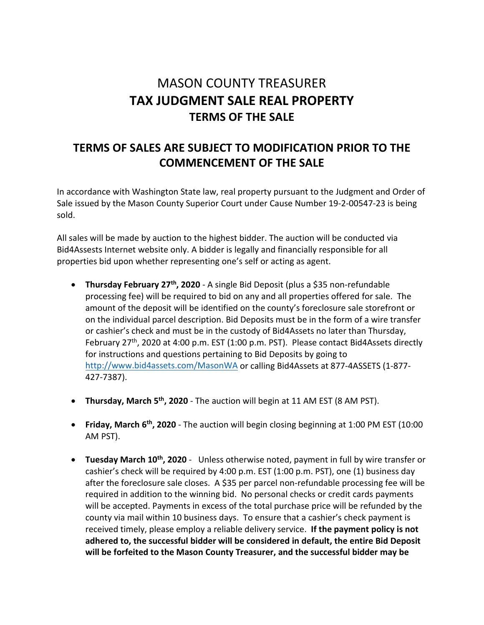# MASON COUNTY TREASURER **TAX JUDGMENT SALE REAL PROPERTY TERMS OF THE SALE**

# **TERMS OF SALES ARE SUBJECT TO MODIFICATION PRIOR TO THE COMMENCEMENT OF THE SALE**

In accordance with Washington State law, real property pursuant to the Judgment and Order of Sale issued by the Mason County Superior Court under Cause Number 19-2-00547-23 is being sold.

All sales will be made by auction to the highest bidder. The auction will be conducted via Bid4Assests Internet website only. A bidder is legally and financially responsible for all properties bid upon whether representing one's self or acting as agent.

- **Thursday February 27th, 2020** A single Bid Deposit (plus a \$35 non-refundable processing fee) will be required to bid on any and all properties offered for sale. The amount of the deposit will be identified on the county's foreclosure sale storefront or on the individual parcel description. Bid Deposits must be in the form of a wire transfer or cashier's check and must be in the custody of Bid4Assets no later than Thursday, February 27<sup>th</sup>, 2020 at 4:00 p.m. EST (1:00 p.m. PST). Please contact Bid4Assets directly for instructions and questions pertaining to Bid Deposits by going to <http://www.bid4assets.com/MasonWA> or calling Bid4Assets at 877-4ASSETS (1-877- 427-7387).
- **Thursday, March 5th, 2020** The auction will begin at 11 AM EST (8 AM PST).
- **Friday, March 6th, 2020** The auction will begin closing beginning at 1:00 PM EST (10:00 AM PST).
- **Tuesday March 10th, 2020** Unless otherwise noted, payment in full by wire transfer or cashier's check will be required by 4:00 p.m. EST (1:00 p.m. PST), one (1) business day after the foreclosure sale closes. A \$35 per parcel non-refundable processing fee will be required in addition to the winning bid. No personal checks or credit cards payments will be accepted. Payments in excess of the total purchase price will be refunded by the county via mail within 10 business days. To ensure that a cashier's check payment is received timely, please employ a reliable delivery service. **If the payment policy is not adhered to, the successful bidder will be considered in default, the entire Bid Deposit will be forfeited to the Mason County Treasurer, and the successful bidder may be**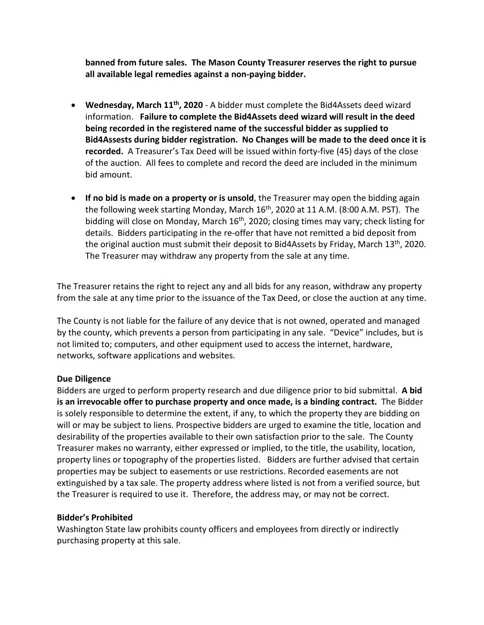**banned from future sales. The Mason County Treasurer reserves the right to pursue all available legal remedies against a non-paying bidder.**

- **Wednesday, March 11th, 2020** A bidder must complete the Bid4Assets deed wizard information. **Failure to complete the Bid4Assets deed wizard will result in the deed being recorded in the registered name of the successful bidder as supplied to Bid4Assests during bidder registration. No Changes will be made to the deed once it is recorded.** A Treasurer's Tax Deed will be issued within forty-five (45) days of the close of the auction. All fees to complete and record the deed are included in the minimum bid amount.
- **If no bid is made on a property or is unsold**, the Treasurer may open the bidding again the following week starting Monday, March 16<sup>th</sup>, 2020 at 11 A.M. (8:00 A.M. PST). The bidding will close on Monday, March 16<sup>th</sup>, 2020; closing times may vary; check listing for details. Bidders participating in the re-offer that have not remitted a bid deposit from the original auction must submit their deposit to Bid4Assets by Friday, March 13<sup>th</sup>, 2020. The Treasurer may withdraw any property from the sale at any time.

The Treasurer retains the right to reject any and all bids for any reason, withdraw any property from the sale at any time prior to the issuance of the Tax Deed, or close the auction at any time.

The County is not liable for the failure of any device that is not owned, operated and managed by the county, which prevents a person from participating in any sale. "Device" includes, but is not limited to; computers, and other equipment used to access the internet, hardware, networks, software applications and websites.

#### **Due Diligence**

Bidders are urged to perform property research and due diligence prior to bid submittal. **A bid is an irrevocable offer to purchase property and once made, is a binding contract.** The Bidder is solely responsible to determine the extent, if any, to which the property they are bidding on will or may be subject to liens. Prospective bidders are urged to examine the title, location and desirability of the properties available to their own satisfaction prior to the sale. The County Treasurer makes no warranty, either expressed or implied, to the title, the usability, location, property lines or topography of the properties listed. Bidders are further advised that certain properties may be subject to easements or use restrictions. Recorded easements are not extinguished by a tax sale. The property address where listed is not from a verified source, but the Treasurer is required to use it. Therefore, the address may, or may not be correct.

#### **Bidder's Prohibited**

Washington State law prohibits county officers and employees from directly or indirectly purchasing property at this sale.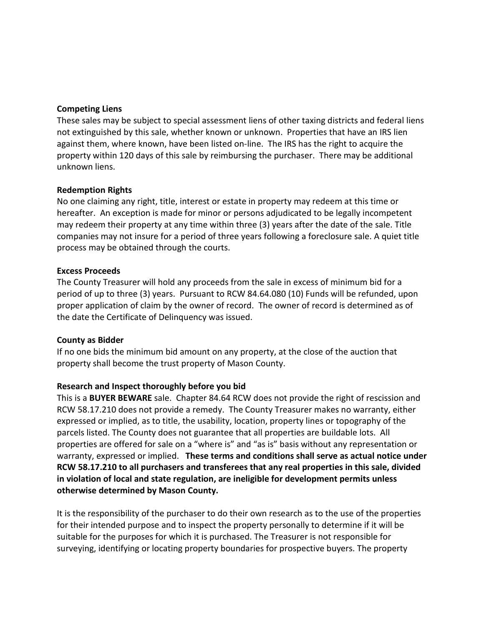#### **Competing Liens**

These sales may be subject to special assessment liens of other taxing districts and federal liens not extinguished by this sale, whether known or unknown. Properties that have an IRS lien against them, where known, have been listed on-line. The IRS has the right to acquire the property within 120 days of this sale by reimbursing the purchaser. There may be additional unknown liens.

#### **Redemption Rights**

No one claiming any right, title, interest or estate in property may redeem at this time or hereafter. An exception is made for minor or persons adjudicated to be legally incompetent may redeem their property at any time within three (3) years after the date of the sale. Title companies may not insure for a period of three years following a foreclosure sale. A quiet title process may be obtained through the courts.

#### **Excess Proceeds**

The County Treasurer will hold any proceeds from the sale in excess of minimum bid for a period of up to three (3) years. Pursuant to RCW 84.64.080 (10) Funds will be refunded, upon proper application of claim by the owner of record. The owner of record is determined as of the date the Certificate of Delinquency was issued.

#### **County as Bidder**

If no one bids the minimum bid amount on any property, at the close of the auction that property shall become the trust property of Mason County.

#### **Research and Inspect thoroughly before you bid**

This is a **BUYER BEWARE** sale. Chapter 84.64 RCW does not provide the right of rescission and RCW 58.17.210 does not provide a remedy. The County Treasurer makes no warranty, either expressed or implied, as to title, the usability, location, property lines or topography of the parcels listed. The County does not guarantee that all properties are buildable lots. All properties are offered for sale on a "where is" and "as is" basis without any representation or warranty, expressed or implied. **These terms and conditions shall serve as actual notice under RCW 58.17.210 to all purchasers and transferees that any real properties in this sale, divided in violation of local and state regulation, are ineligible for development permits unless otherwise determined by Mason County.**

It is the responsibility of the purchaser to do their own research as to the use of the properties for their intended purpose and to inspect the property personally to determine if it will be suitable for the purposes for which it is purchased. The Treasurer is not responsible for surveying, identifying or locating property boundaries for prospective buyers. The property